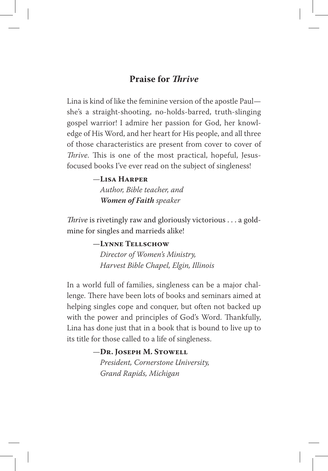#### **Praise for** *Thrive*

Lina is kind of like the feminine version of the apostle Paul she's a straight-shooting, no-holds-barred, truth-slinging gospel warrior! I admire her passion for God, her knowledge of His Word, and her heart for His people, and all three of those characteristics are present from cover to cover of *Thrive*. This is one of the most practical, hopeful, Jesusfocused books I've ever read on the subject of singleness!

> —**Lisa Harper** *Author, Bible teacher, and Women of Faith speaker*

*Thrive* is rivetingly raw and gloriously victorious . . . a goldmine for singles and marrieds alike!

> —**Lynne Tellschow** *Director of Women's Ministry, Harvest Bible Chapel, Elgin, Illinois*

In a world full of families, singleness can be a major challenge. There have been lots of books and seminars aimed at helping singles cope and conquer, but often not backed up with the power and principles of God's Word. Thankfully, Lina has done just that in a book that is bound to live up to its title for those called to a life of singleness.

> —**Dr. Joseph M. Stowell** *President, Cornerstone University, Grand Rapids, Michigan*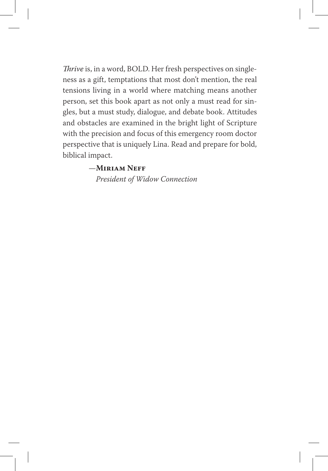*Thrive* is, in a word, BOLD. Her fresh perspectives on singleness as a gift, temptations that most don't mention, the real tensions living in a world where matching means another person, set this book apart as not only a must read for singles, but a must study, dialogue, and debate book. Attitudes and obstacles are examined in the bright light of Scripture with the precision and focus of this emergency room doctor perspective that is uniquely Lina. Read and prepare for bold, biblical impact.

#### —**Miriam Neff**

*President of Widow Connection*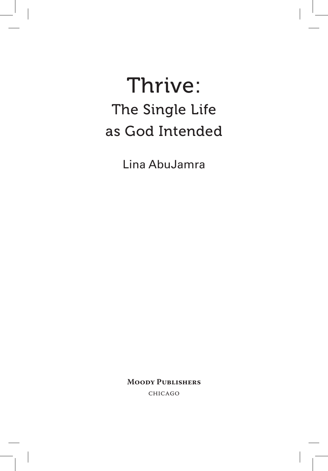# Thrive: The Single Life as God Intended

Lina AbuJamra

**Moody Publishers**

CHICAGO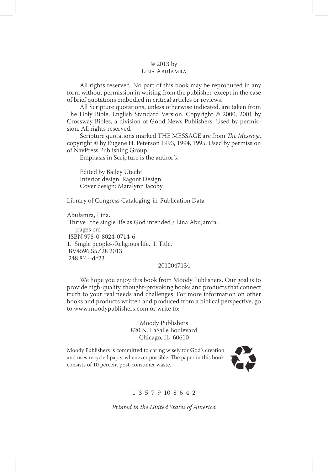#### © 2013 by Lina AbuJamra

All rights reserved. No part of this book may be reproduced in any form without permission in writing from the publisher, except in the case of brief quotations embodied in critical articles or reviews.

All Scripture quotations, unless otherwise indicated, are taken from The Holy Bible, English Standard Version. Copyright © 2000, 2001 by Crossway Bibles, a division of Good News Publishers. Used by permission. All rights reserved.

Scripture quotations marked THE MESSAGE are from *The Message*, copyright © by Eugene H. Peterson 1993, 1994, 1995. Used by permission of NavPress Publishing Group.

Emphasis in Scripture is the author's.

Edited by Bailey Utecht Interior design: Ragont Design Cover design: Maralynn Jacoby

Library of Congress Cataloging-in-Publication Data

AbuJamra, Lina. Thrive : the single life as God intended / Lina AbuJamra. pages cm ISBN 978-0-8024-0714-6 1. Single people--Religious life. I. Title. BV4596.S5Z28 2013 248.8'4--dc23

#### 2012047134

We hope you enjoy this book from Moody Publishers. Our goal is to provide high-quality, thought-provoking books and products that connect truth to your real needs and challenges. For more information on other books and products written and produced from a biblical perspective, go to www.moodypublishers.com or write to:

> Moody Publishers 820 N. LaSalle Boulevard Chicago, IL 60610

Moody Publishers is committed to caring wisely for God's creation and uses recycled paper whenever possible. The paper in this book consists of 10 percent post-consumer waste.



#### 1 3 5 7 9 10 8 6 4 2

*Printed in the United States of America*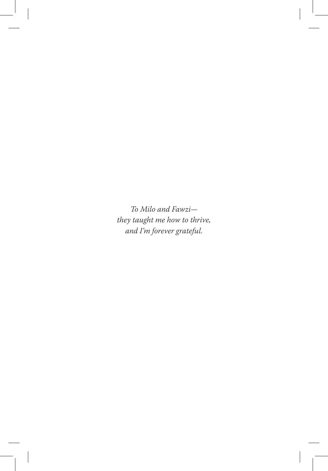*To Milo and Fawzi they taught me how to thrive, and I'm forever grateful.*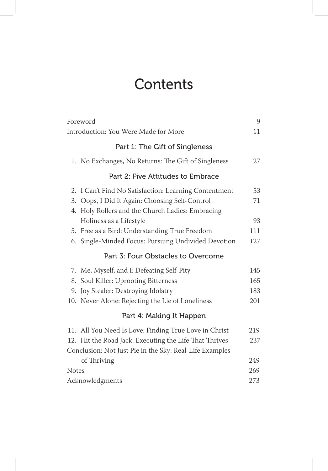## **Contents**

| Foreword                             |                                                         | 9   |
|--------------------------------------|---------------------------------------------------------|-----|
| Introduction: You Were Made for More |                                                         | 11  |
|                                      | Part 1: The Gift of Singleness                          |     |
|                                      | 1. No Exchanges, No Returns: The Gift of Singleness     | 27  |
| Part 2: Five Attitudes to Embrace    |                                                         |     |
|                                      | 2. I Can't Find No Satisfaction: Learning Contentment   | 53  |
|                                      | 3. Oops, I Did It Again: Choosing Self-Control          | 71  |
| 4.                                   | Holy Rollers and the Church Ladies: Embracing           |     |
|                                      | Holiness as a Lifestyle                                 | 93  |
|                                      | 5. Free as a Bird: Understanding True Freedom           | 111 |
|                                      | 6. Single-Minded Focus: Pursuing Undivided Devotion     | 127 |
| Part 3: Four Obstacles to Overcome   |                                                         |     |
|                                      | 7. Me, Myself, and I: Defeating Self-Pity               | 145 |
|                                      | 8. Soul Killer: Uprooting Bitterness                    | 165 |
|                                      | 9. Joy Stealer: Destroying Idolatry                     | 183 |
|                                      | 10. Never Alone: Rejecting the Lie of Loneliness        | 201 |
|                                      | Part 4: Making It Happen                                |     |
|                                      | 11. All You Need Is Love: Finding True Love in Christ   | 219 |
|                                      | 12. Hit the Road Jack: Executing the Life That Thrives  | 237 |
|                                      | Conclusion: Not Just Pie in the Sky: Real-Life Examples |     |
|                                      | of Thriving                                             | 249 |
| <b>Notes</b>                         |                                                         | 269 |
| Acknowledgments                      |                                                         | 273 |
|                                      |                                                         |     |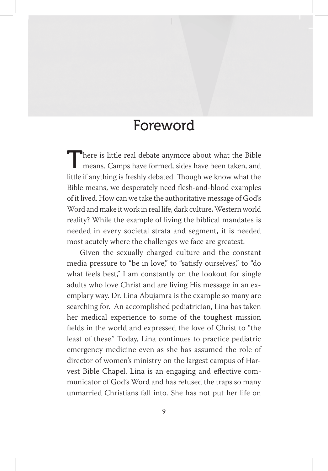## Foreword

There is little real debate anymore about what the Bible means. Camps have formed, sides have been taken, and little if anything is freshly debated. Though we know what the Bible means, we desperately need flesh-and-blood examples of it lived. How can we take the authoritative message of God's Word and make it work in real life, dark culture, Western world reality? While the example of living the biblical mandates is needed in every societal strata and segment, it is needed most acutely where the challenges we face are greatest.

Given the sexually charged culture and the constant media pressure to "be in love," to "satisfy ourselves," to "do what feels best," I am constantly on the lookout for single adults who love Christ and are living His message in an exemplary way. Dr. Lina Abujamra is the example so many are searching for. An accomplished pediatrician, Lina has taken her medical experience to some of the toughest mission fields in the world and expressed the love of Christ to "the least of these." Today, Lina continues to practice pediatric emergency medicine even as she has assumed the role of director of women's ministry on the largest campus of Harvest Bible Chapel. Lina is an engaging and effective communicator of God's Word and has refused the traps so many unmarried Christians fall into. She has not put her life on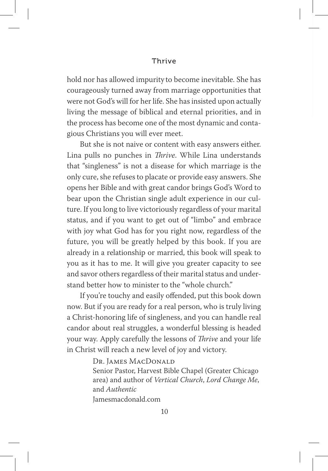hold nor has allowed impurity to become inevitable. She has courageously turned away from marriage opportunities that were not God's will for her life. She has insisted upon actually living the message of biblical and eternal priorities, and in the process has become one of the most dynamic and contagious Christians you will ever meet.

But she is not naive or content with easy answers either. Lina pulls no punches in *Thrive*. While Lina understands that "singleness" is not a disease for which marriage is the only cure, she refuses to placate or provide easy answers. She opens her Bible and with great candor brings God's Word to bear upon the Christian single adult experience in our culture. If you long to live victoriously regardless of your marital status, and if you want to get out of "limbo" and embrace with joy what God has for you right now, regardless of the future, you will be greatly helped by this book. If you are already in a relationship or married, this book will speak to you as it has to me. It will give you greater capacity to see and savor others regardless of their marital status and understand better how to minister to the "whole church."

If you're touchy and easily offended, put this book down now. But if you are ready for a real person, who is truly living a Christ-honoring life of singleness, and you can handle real candor about real struggles, a wonderful blessing is headed your way. Apply carefully the lessons of *Thrive* and your life in Christ will reach a new level of joy and victory.

Dr. James MacDonald

Senior Pastor, Harvest Bible Chapel (Greater Chicago area) and author of *Vertical Church*, *Lord Change Me*, and *Authentic*

Jamesmacdonald.com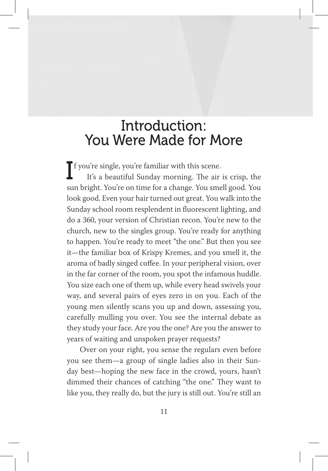## Introduction: You Were Made for More

If you're single, you're familiar with this scene.<br>It's a beautiful Sunday morning. The air It's a beautiful Sunday morning. The air is crisp, the sun bright. You're on time for a change. You smell good. You look good. Even your hair turned out great. You walk into the Sunday school room resplendent in fluorescent lighting, and do a 360, your version of Christian recon. You're new to the church, new to the singles group. You're ready for anything to happen. You're ready to meet "the one." But then you see it—the familiar box of Krispy Kremes, and you smell it, the aroma of badly singed coffee. In your peripheral vision, over in the far corner of the room, you spot the infamous huddle. You size each one of them up, while every head swivels your way, and several pairs of eyes zero in on you. Each of the young men silently scans you up and down, assessing you, carefully mulling you over. You see the internal debate as they study your face. Are you the one? Are you the answer to years of waiting and unspoken prayer requests?

Over on your right, you sense the regulars even before you see them—a group of single ladies also in their Sunday best—hoping the new face in the crowd, yours, hasn't dimmed their chances of catching "the one." They want to like you, they really do, but the jury is still out. You're still an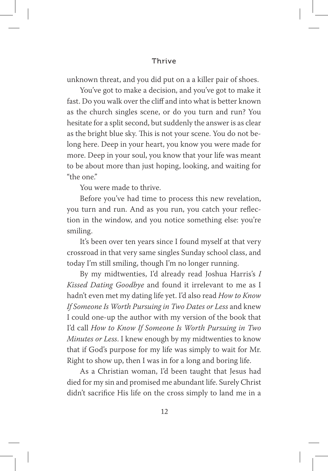unknown threat, and you did put on a a killer pair of shoes.

You've got to make a decision, and you've got to make it fast. Do you walk over the cliff and into what is better known as the church singles scene, or do you turn and run? You hesitate for a split second, but suddenly the answer is as clear as the bright blue sky. This is not your scene. You do not belong here. Deep in your heart, you know you were made for more. Deep in your soul, you know that your life was meant to be about more than just hoping, looking, and waiting for "the one."

You were made to thrive.

Before you've had time to process this new revelation, you turn and run. And as you run, you catch your reflection in the window, and you notice something else: you're smiling.

It's been over ten years since I found myself at that very crossroad in that very same singles Sunday school class, and today I'm still smiling, though I'm no longer running.

By my midtwenties, I'd already read Joshua Harris's *I Kissed Dating Goodbye* and found it irrelevant to me as I hadn't even met my dating life yet. I'd also read *How to Know If Someone Is Worth Pursuing in Two Dates or Less* and knew I could one-up the author with my version of the book that I'd call *How to Know If Someone Is Worth Pursuing in Two Minutes or Less*. I knew enough by my midtwenties to know that if God's purpose for my life was simply to wait for Mr. Right to show up, then I was in for a long and boring life.

As a Christian woman, I'd been taught that Jesus had died for my sin and promised me abundant life. Surely Christ didn't sacrifice His life on the cross simply to land me in a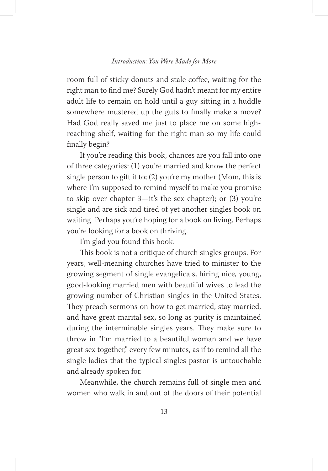room full of sticky donuts and stale coffee, waiting for the right man to find me? Surely God hadn't meant for my entire adult life to remain on hold until a guy sitting in a huddle somewhere mustered up the guts to finally make a move? Had God really saved me just to place me on some highreaching shelf, waiting for the right man so my life could finally begin?

If you're reading this book, chances are you fall into one of three categories: (1) you're married and know the perfect single person to gift it to; (2) you're my mother (Mom, this is where I'm supposed to remind myself to make you promise to skip over chapter 3—it's the sex chapter); or (3) you're single and are sick and tired of yet another singles book on waiting. Perhaps you're hoping for a book on living. Perhaps you're looking for a book on thriving.

I'm glad you found this book.

This book is not a critique of church singles groups. For years, well-meaning churches have tried to minister to the growing segment of single evangelicals, hiring nice, young, good-looking married men with beautiful wives to lead the growing number of Christian singles in the United States. They preach sermons on how to get married, stay married, and have great marital sex, so long as purity is maintained during the interminable singles years. They make sure to throw in "I'm married to a beautiful woman and we have great sex together," every few minutes, as if to remind all the single ladies that the typical singles pastor is untouchable and already spoken for.

Meanwhile, the church remains full of single men and women who walk in and out of the doors of their potential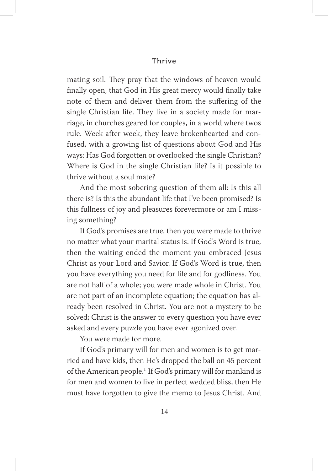mating soil. They pray that the windows of heaven would finally open, that God in His great mercy would finally take note of them and deliver them from the suffering of the single Christian life. They live in a society made for marriage, in churches geared for couples, in a world where twos rule. Week after week, they leave brokenhearted and confused, with a growing list of questions about God and His ways: Has God forgotten or overlooked the single Christian? Where is God in the single Christian life? Is it possible to thrive without a soul mate?

And the most sobering question of them all: Is this all there is? Is this the abundant life that I've been promised? Is this fullness of joy and pleasures forevermore or am I missing something?

If God's promises are true, then you were made to thrive no matter what your marital status is. If God's Word is true, then the waiting ended the moment you embraced Jesus Christ as your Lord and Savior. If God's Word is true, then you have everything you need for life and for godliness. You are not half of a whole; you were made whole in Christ. You are not part of an incomplete equation; the equation has already been resolved in Christ. You are not a mystery to be solved; Christ is the answer to every question you have ever asked and every puzzle you have ever agonized over.

You were made for more.

If God's primary will for men and women is to get married and have kids, then He's dropped the ball on 45 percent of the American people.1 If God's primary will for mankind is for men and women to live in perfect wedded bliss, then He must have forgotten to give the memo to Jesus Christ. And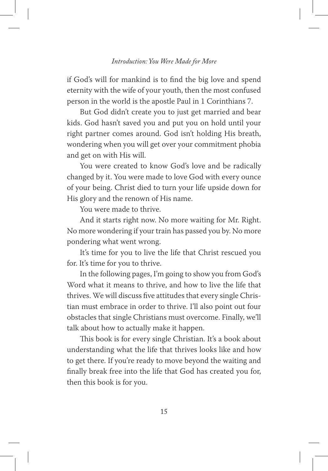if God's will for mankind is to find the big love and spend eternity with the wife of your youth, then the most confused person in the world is the apostle Paul in 1 Corinthians 7.

But God didn't create you to just get married and bear kids. God hasn't saved you and put you on hold until your right partner comes around. God isn't holding His breath, wondering when you will get over your commitment phobia and get on with His will.

You were created to know God's love and be radically changed by it. You were made to love God with every ounce of your being. Christ died to turn your life upside down for His glory and the renown of His name.

You were made to thrive.

And it starts right now. No more waiting for Mr. Right. No more wondering if your train has passed you by. No more pondering what went wrong.

It's time for you to live the life that Christ rescued you for. It's time for you to thrive.

In the following pages, I'm going to show you from God's Word what it means to thrive, and how to live the life that thrives. We will discuss five attitudes that every single Christian must embrace in order to thrive. I'll also point out four obstacles that single Christians must overcome. Finally, we'll talk about how to actually make it happen.

This book is for every single Christian. It's a book about understanding what the life that thrives looks like and how to get there. If you're ready to move beyond the waiting and finally break free into the life that God has created you for, then this book is for you.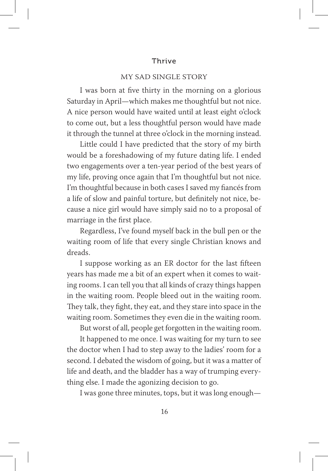#### My Sad Single Story

I was born at five thirty in the morning on a glorious Saturday in April—which makes me thoughtful but not nice. A nice person would have waited until at least eight o'clock to come out, but a less thoughtful person would have made it through the tunnel at three o'clock in the morning instead.

Little could I have predicted that the story of my birth would be a foreshadowing of my future dating life. I ended two engagements over a ten-year period of the best years of my life, proving once again that I'm thoughtful but not nice. I'm thoughtful because in both cases I saved my fiancés from a life of slow and painful torture, but definitely not nice, because a nice girl would have simply said no to a proposal of marriage in the first place.

Regardless, I've found myself back in the bull pen or the waiting room of life that every single Christian knows and dreads.

I suppose working as an ER doctor for the last fifteen years has made me a bit of an expert when it comes to waiting rooms. I can tell you that all kinds of crazy things happen in the waiting room. People bleed out in the waiting room. They talk, they fight, they eat, and they stare into space in the waiting room. Sometimes they even die in the waiting room.

But worst of all, people get forgotten in the waiting room.

It happened to me once. I was waiting for my turn to see the doctor when I had to step away to the ladies' room for a second. I debated the wisdom of going, but it was a matter of life and death, and the bladder has a way of trumping everything else. I made the agonizing decision to go.

I was gone three minutes, tops, but it was long enough—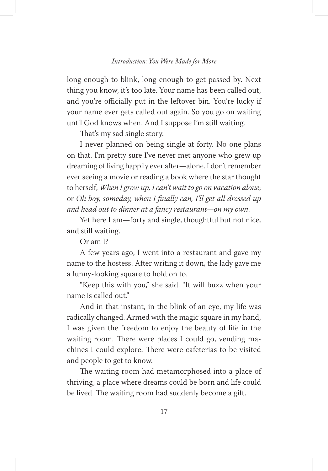long enough to blink, long enough to get passed by. Next thing you know, it's too late. Your name has been called out, and you're officially put in the leftover bin. You're lucky if your name ever gets called out again. So you go on waiting until God knows when. And I suppose I'm still waiting.

That's my sad single story.

I never planned on being single at forty. No one plans on that. I'm pretty sure I've never met anyone who grew up dreaming of living happily ever after—alone. I don't remember ever seeing a movie or reading a book where the star thought to herself, *When I grow up, I can't wait to go on vacation alone*; or *Oh boy, someday, when I finally can, I'll get all dressed up and head out to dinner at a fancy restaurant—on my own*.

Yet here I am—forty and single, thoughtful but not nice, and still waiting.

Or am I?

A few years ago, I went into a restaurant and gave my name to the hostess. After writing it down, the lady gave me a funny-looking square to hold on to.

"Keep this with you," she said. "It will buzz when your name is called out."

And in that instant, in the blink of an eye, my life was radically changed. Armed with the magic square in my hand, I was given the freedom to enjoy the beauty of life in the waiting room. There were places I could go, vending machines I could explore. There were cafeterias to be visited and people to get to know.

The waiting room had metamorphosed into a place of thriving, a place where dreams could be born and life could be lived. The waiting room had suddenly become a gift.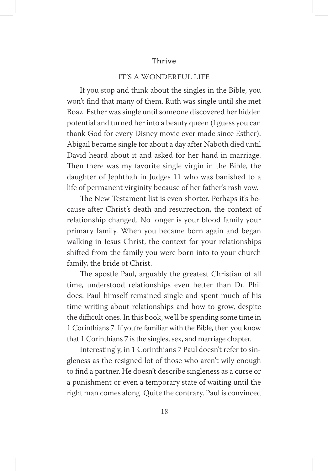#### It's a Wonderful Life

If you stop and think about the singles in the Bible, you won't find that many of them. Ruth was single until she met Boaz. Esther was single until someone discovered her hidden potential and turned her into a beauty queen (I guess you can thank God for every Disney movie ever made since Esther). Abigail became single for about a day after Naboth died until David heard about it and asked for her hand in marriage. Then there was my favorite single virgin in the Bible, the daughter of Jephthah in Judges 11 who was banished to a life of permanent virginity because of her father's rash vow.

The New Testament list is even shorter. Perhaps it's because after Christ's death and resurrection, the context of relationship changed. No longer is your blood family your primary family. When you became born again and began walking in Jesus Christ, the context for your relationships shifted from the family you were born into to your church family, the bride of Christ.

The apostle Paul, arguably the greatest Christian of all time, understood relationships even better than Dr. Phil does. Paul himself remained single and spent much of his time writing about relationships and how to grow, despite the difficult ones. In this book, we'll be spending some time in 1 Corinthians 7. If you're familiar with the Bible, then you know that 1 Corinthians 7 is the singles, sex, and marriage chapter.

Interestingly, in 1 Corinthians 7 Paul doesn't refer to singleness as the resigned lot of those who aren't wily enough to find a partner. He doesn't describe singleness as a curse or a punishment or even a temporary state of waiting until the right man comes along. Quite the contrary. Paul is convinced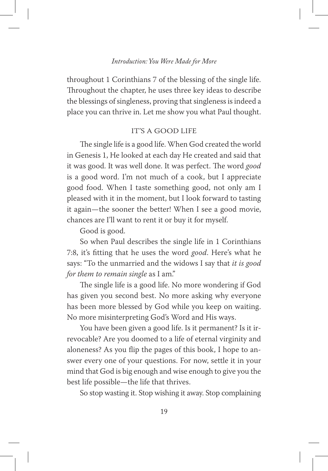throughout 1 Corinthians 7 of the blessing of the single life. Throughout the chapter, he uses three key ideas to describe the blessings of singleness, proving that singleness is indeed a place you can thrive in. Let me show you what Paul thought.

#### It's a Good Life

The single life is a good life. When God created the world in Genesis 1, He looked at each day He created and said that it was good. It was well done. It was perfect. The word *good* is a good word. I'm not much of a cook, but I appreciate good food. When I taste something good, not only am I pleased with it in the moment, but I look forward to tasting it again—the sooner the better! When I see a good movie, chances are I'll want to rent it or buy it for myself.

Good is good.

So when Paul describes the single life in 1 Corinthians 7:8, it's fitting that he uses the word *good*. Here's what he says: "To the unmarried and the widows I say that *it is good for them to remain single* as I am."

The single life is a good life. No more wondering if God has given you second best. No more asking why everyone has been more blessed by God while you keep on waiting. No more misinterpreting God's Word and His ways.

You have been given a good life. Is it permanent? Is it irrevocable? Are you doomed to a life of eternal virginity and aloneness? As you flip the pages of this book, I hope to answer every one of your questions. For now, settle it in your mind that God is big enough and wise enough to give you the best life possible—the life that thrives.

So stop wasting it. Stop wishing it away. Stop complaining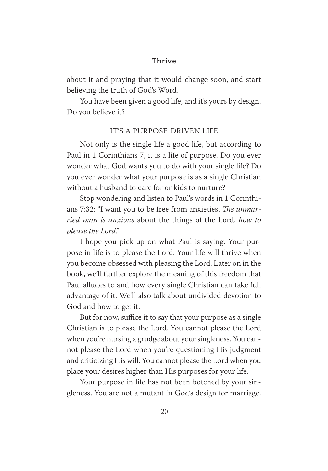about it and praying that it would change soon, and start believing the truth of God's Word.

You have been given a good life, and it's yours by design. Do you believe it?

#### It's a Purpose-Driven Life

Not only is the single life a good life, but according to Paul in 1 Corinthians 7, it is a life of purpose. Do you ever wonder what God wants you to do with your single life? Do you ever wonder what your purpose is as a single Christian without a husband to care for or kids to nurture?

Stop wondering and listen to Paul's words in 1 Corinthians 7:32: "I want you to be free from anxieties. *The unmarried man is anxious* about the things of the Lord, *how to please the Lord*."

I hope you pick up on what Paul is saying. Your purpose in life is to please the Lord. Your life will thrive when you become obsessed with pleasing the Lord. Later on in the book, we'll further explore the meaning of this freedom that Paul alludes to and how every single Christian can take full advantage of it. We'll also talk about undivided devotion to God and how to get it.

But for now, suffice it to say that your purpose as a single Christian is to please the Lord. You cannot please the Lord when you're nursing a grudge about your singleness. You cannot please the Lord when you're questioning His judgment and criticizing His will. You cannot please the Lord when you place your desires higher than His purposes for your life.

Your purpose in life has not been botched by your singleness. You are not a mutant in God's design for marriage.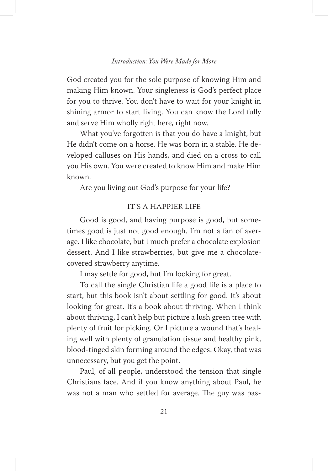God created you for the sole purpose of knowing Him and making Him known. Your singleness is God's perfect place for you to thrive. You don't have to wait for your knight in shining armor to start living. You can know the Lord fully and serve Him wholly right here, right now.

What you've forgotten is that you do have a knight, but He didn't come on a horse. He was born in a stable. He developed calluses on His hands, and died on a cross to call you His own. You were created to know Him and make Him known.

Are you living out God's purpose for your life?

#### IT'S A HAPPIER LIFE

Good is good, and having purpose is good, but sometimes good is just not good enough. I'm not a fan of average. I like chocolate, but I much prefer a chocolate explosion dessert. And I like strawberries, but give me a chocolatecovered strawberry anytime.

I may settle for good, but I'm looking for great.

To call the single Christian life a good life is a place to start, but this book isn't about settling for good. It's about looking for great. It's a book about thriving. When I think about thriving, I can't help but picture a lush green tree with plenty of fruit for picking. Or I picture a wound that's healing well with plenty of granulation tissue and healthy pink, blood-tinged skin forming around the edges. Okay, that was unnecessary, but you get the point.

Paul, of all people, understood the tension that single Christians face. And if you know anything about Paul, he was not a man who settled for average. The guy was pas-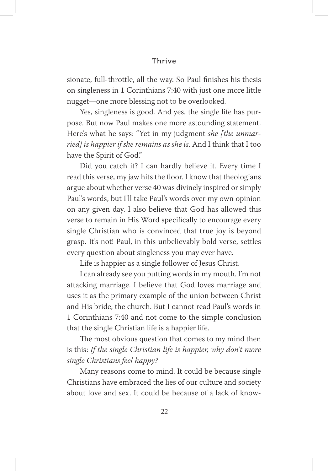sionate, full-throttle, all the way. So Paul finishes his thesis on singleness in 1 Corinthians 7:40 with just one more little nugget—one more blessing not to be overlooked.

Yes, singleness is good. And yes, the single life has purpose. But now Paul makes one more astounding statement. Here's what he says: "Yet in my judgment *she [the unmarried] is happier if she remains as she is*. And I think that I too have the Spirit of God."

Did you catch it? I can hardly believe it. Every time I read this verse, my jaw hits the floor. I know that theologians argue about whether verse 40 was divinely inspired or simply Paul's words, but I'll take Paul's words over my own opinion on any given day. I also believe that God has allowed this verse to remain in His Word specifically to encourage every single Christian who is convinced that true joy is beyond grasp. It's not! Paul, in this unbelievably bold verse, settles every question about singleness you may ever have.

Life is happier as a single follower of Jesus Christ.

I can already see you putting words in my mouth. I'm not attacking marriage. I believe that God loves marriage and uses it as the primary example of the union between Christ and His bride, the church. But I cannot read Paul's words in 1 Corinthians 7:40 and not come to the simple conclusion that the single Christian life is a happier life.

The most obvious question that comes to my mind then is this: *If the single Christian life is happier, why don't more single Christians feel happy?*

Many reasons come to mind. It could be because single Christians have embraced the lies of our culture and society about love and sex. It could be because of a lack of know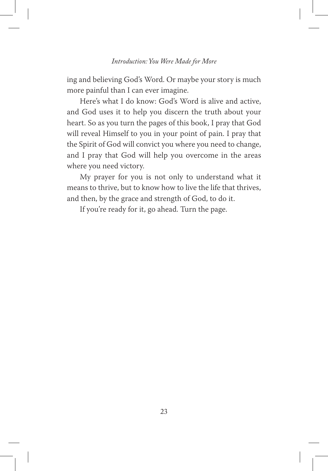ing and believing God's Word. Or maybe your story is much more painful than I can ever imagine.

Here's what I do know: God's Word is alive and active, and God uses it to help you discern the truth about your heart. So as you turn the pages of this book, I pray that God will reveal Himself to you in your point of pain. I pray that the Spirit of God will convict you where you need to change, and I pray that God will help you overcome in the areas where you need victory.

My prayer for you is not only to understand what it means to thrive, but to know how to live the life that thrives, and then, by the grace and strength of God, to do it.

If you're ready for it, go ahead. Turn the page.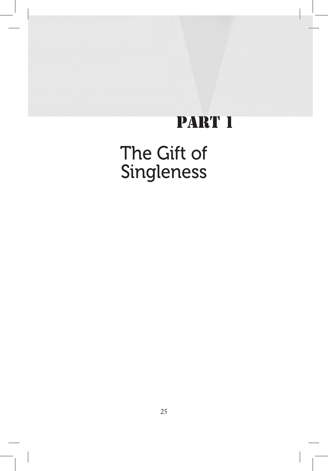## part 1

# The Gift of Singleness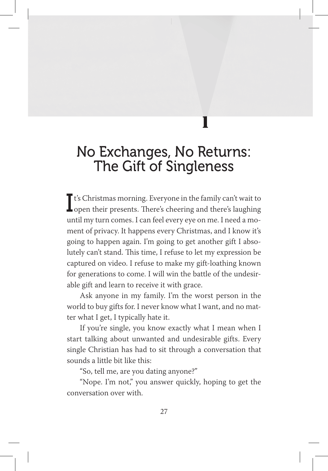## No Exchanges, No Returns: The Gift of Singleness

1

 $\prod$ t's Christmas morning. Everyone in the family can't wait to open their presents. There's cheering and there's laughing Tt's Christmas morning. Everyone in the family can't wait to until my turn comes. I can feel every eye on me. I need a moment of privacy. It happens every Christmas, and I know it's going to happen again. I'm going to get another gift I absolutely can't stand. This time, I refuse to let my expression be captured on video. I refuse to make my gift-loathing known for generations to come. I will win the battle of the undesirable gift and learn to receive it with grace.

Ask anyone in my family. I'm the worst person in the world to buy gifts for. I never know what I want, and no matter what I get, I typically hate it.

If you're single, you know exactly what I mean when I start talking about unwanted and undesirable gifts. Every single Christian has had to sit through a conversation that sounds a little bit like this:

"So, tell me, are you dating anyone?"

"Nope. I'm not," you answer quickly, hoping to get the conversation over with.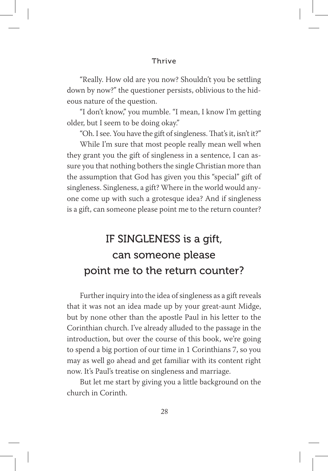"Really. How old are you now? Shouldn't you be settling down by now?" the questioner persists, oblivious to the hideous nature of the question.

"I don't know," you mumble. "I mean, I know I'm getting older, but I seem to be doing okay."

"Oh. I see. You have the gift of singleness. That's it, isn't it?"

While I'm sure that most people really mean well when they grant you the gift of singleness in a sentence, I can assure you that nothing bothers the single Christian more than the assumption that God has given you this "special" gift of singleness. Singleness, a gift? Where in the world would anyone come up with such a grotesque idea? And if singleness is a gift, can someone please point me to the return counter?

## If singleness is a gift, can someone please point me to the return counter?

Further inquiry into the idea of singleness as a gift reveals that it was not an idea made up by your great-aunt Midge, but by none other than the apostle Paul in his letter to the Corinthian church. I've already alluded to the passage in the introduction, but over the course of this book, we're going to spend a big portion of our time in 1 Corinthians 7, so you may as well go ahead and get familiar with its content right now. It's Paul's treatise on singleness and marriage.

But let me start by giving you a little background on the church in Corinth.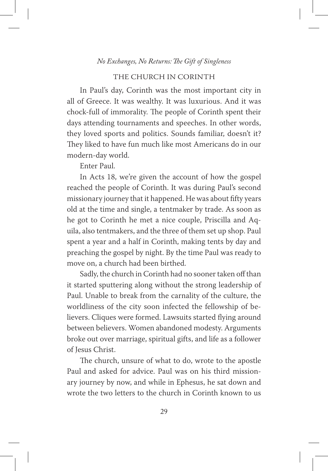#### The Church in Corinth

In Paul's day, Corinth was the most important city in all of Greece. It was wealthy. It was luxurious. And it was chock-full of immorality. The people of Corinth spent their days attending tournaments and speeches. In other words, they loved sports and politics. Sounds familiar, doesn't it? They liked to have fun much like most Americans do in our modern-day world.

Enter Paul.

In Acts 18, we're given the account of how the gospel reached the people of Corinth. It was during Paul's second missionary journey that it happened. He was about fifty years old at the time and single, a tentmaker by trade. As soon as he got to Corinth he met a nice couple, Priscilla and Aquila, also tentmakers, and the three of them set up shop. Paul spent a year and a half in Corinth, making tents by day and preaching the gospel by night. By the time Paul was ready to move on, a church had been birthed.

Sadly, the church in Corinth had no sooner taken off than it started sputtering along without the strong leadership of Paul. Unable to break from the carnality of the culture, the worldliness of the city soon infected the fellowship of believers. Cliques were formed. Lawsuits started flying around between believers. Women abandoned modesty. Arguments broke out over marriage, spiritual gifts, and life as a follower of Jesus Christ.

The church, unsure of what to do, wrote to the apostle Paul and asked for advice. Paul was on his third missionary journey by now, and while in Ephesus, he sat down and wrote the two letters to the church in Corinth known to us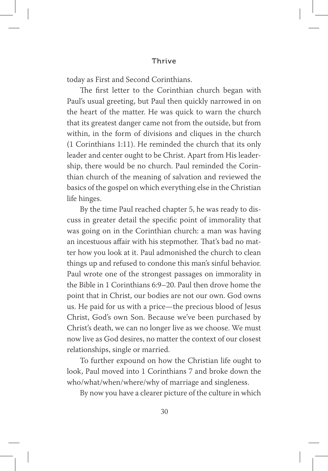today as First and Second Corinthians.

The first letter to the Corinthian church began with Paul's usual greeting, but Paul then quickly narrowed in on the heart of the matter. He was quick to warn the church that its greatest danger came not from the outside, but from within, in the form of divisions and cliques in the church (1 Corinthians 1:11). He reminded the church that its only leader and center ought to be Christ. Apart from His leadership, there would be no church. Paul reminded the Corinthian church of the meaning of salvation and reviewed the basics of the gospel on which everything else in the Christian life hinges.

By the time Paul reached chapter 5, he was ready to discuss in greater detail the specific point of immorality that was going on in the Corinthian church: a man was having an incestuous affair with his stepmother. That's bad no matter how you look at it. Paul admonished the church to clean things up and refused to condone this man's sinful behavior. Paul wrote one of the strongest passages on immorality in the Bible in 1 Corinthians 6:9–20. Paul then drove home the point that in Christ, our bodies are not our own. God owns us. He paid for us with a price—the precious blood of Jesus Christ, God's own Son. Because we've been purchased by Christ's death, we can no longer live as we choose. We must now live as God desires, no matter the context of our closest relationships, single or married.

To further expound on how the Christian life ought to look, Paul moved into 1 Corinthians 7 and broke down the who/what/when/where/why of marriage and singleness.

By now you have a clearer picture of the culture in which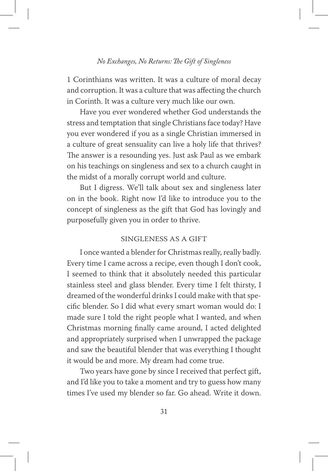1 Corinthians was written. It was a culture of moral decay and corruption. It was a culture that was affecting the church in Corinth. It was a culture very much like our own.

Have you ever wondered whether God understands the stress and temptation that single Christians face today? Have you ever wondered if you as a single Christian immersed in a culture of great sensuality can live a holy life that thrives? The answer is a resounding yes. Just ask Paul as we embark on his teachings on singleness and sex to a church caught in the midst of a morally corrupt world and culture.

But I digress. We'll talk about sex and singleness later on in the book. Right now I'd like to introduce you to the concept of singleness as the gift that God has lovingly and purposefully given you in order to thrive.

#### Singleness as a Gift

I once wanted a blender for Christmas really, really badly. Every time I came across a recipe, even though I don't cook, I seemed to think that it absolutely needed this particular stainless steel and glass blender. Every time I felt thirsty, I dreamed of the wonderful drinks I could make with that specific blender. So I did what every smart woman would do: I made sure I told the right people what I wanted, and when Christmas morning finally came around, I acted delighted and appropriately surprised when I unwrapped the package and saw the beautiful blender that was everything I thought it would be and more. My dream had come true.

Two years have gone by since I received that perfect gift, and I'd like you to take a moment and try to guess how many times I've used my blender so far. Go ahead. Write it down.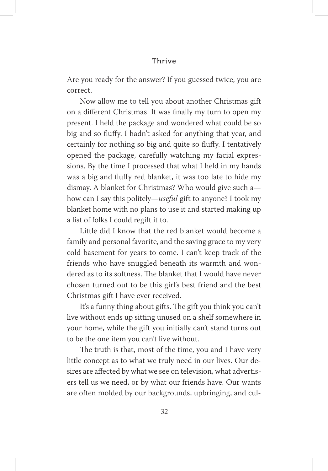Are you ready for the answer? If you guessed twice, you are correct.

Now allow me to tell you about another Christmas gift on a different Christmas. It was finally my turn to open my present. I held the package and wondered what could be so big and so fluffy. I hadn't asked for anything that year, and certainly for nothing so big and quite so fluffy. I tentatively opened the package, carefully watching my facial expressions. By the time I processed that what I held in my hands was a big and fluffy red blanket, it was too late to hide my dismay. A blanket for Christmas? Who would give such a how can I say this politely—*useful* gift to anyone? I took my blanket home with no plans to use it and started making up a list of folks I could regift it to.

Little did I know that the red blanket would become a family and personal favorite, and the saving grace to my very cold basement for years to come. I can't keep track of the friends who have snuggled beneath its warmth and wondered as to its softness. The blanket that I would have never chosen turned out to be this girl's best friend and the best Christmas gift I have ever received.

It's a funny thing about gifts. The gift you think you can't live without ends up sitting unused on a shelf somewhere in your home, while the gift you initially can't stand turns out to be the one item you can't live without.

The truth is that, most of the time, you and I have very little concept as to what we truly need in our lives. Our desires are affected by what we see on television, what advertisers tell us we need, or by what our friends have. Our wants are often molded by our backgrounds, upbringing, and cul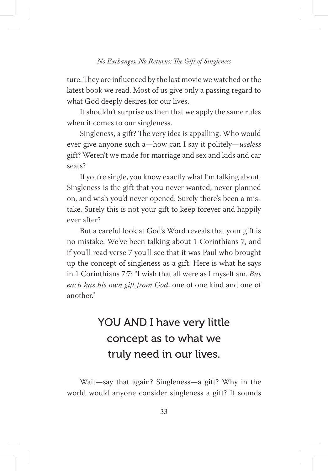ture. They are influenced by the last movie we watched or the latest book we read. Most of us give only a passing regard to what God deeply desires for our lives.

It shouldn't surprise us then that we apply the same rules when it comes to our singleness.

Singleness, a gift? The very idea is appalling. Who would ever give anyone such a—how can I say it politely—*useless* gift? Weren't we made for marriage and sex and kids and car seats?

If you're single, you know exactly what I'm talking about. Singleness is the gift that you never wanted, never planned on, and wish you'd never opened. Surely there's been a mistake. Surely this is not your gift to keep forever and happily ever after?

But a careful look at God's Word reveals that your gift is no mistake. We've been talking about 1 Corinthians 7, and if you'll read verse 7 you'll see that it was Paul who brought up the concept of singleness as a gift. Here is what he says in 1 Corinthians 7:7: "I wish that all were as I myself am. *But each has his own gift from God*, one of one kind and one of another"

### YOU AND I have very little concept as to what we truly need in our lives.

Wait—say that again? Singleness—a gift? Why in the world would anyone consider singleness a gift? It sounds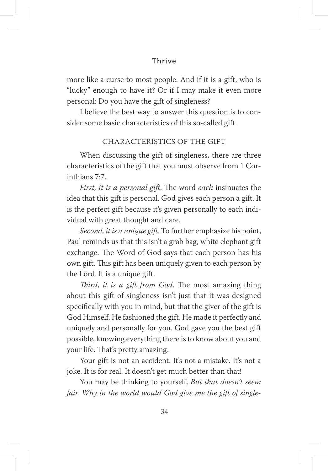more like a curse to most people. And if it is a gift, who is "lucky" enough to have it? Or if I may make it even more personal: Do you have the gift of singleness?

I believe the best way to answer this question is to consider some basic characteristics of this so-called gift.

#### Characteristics of the Gift

When discussing the gift of singleness, there are three characteristics of the gift that you must observe from 1 Corinthians 7:7.

*First, it is a personal gift*. The word *each* insinuates the idea that this gift is personal. God gives each person a gift. It is the perfect gift because it's given personally to each individual with great thought and care.

*Second, it is a unique gift*. To further emphasize his point, Paul reminds us that this isn't a grab bag, white elephant gift exchange. The Word of God says that each person has his own gift. This gift has been uniquely given to each person by the Lord. It is a unique gift.

*Third, it is a gift from God*. The most amazing thing about this gift of singleness isn't just that it was designed specifically with you in mind, but that the giver of the gift is God Himself. He fashioned the gift. He made it perfectly and uniquely and personally for you. God gave you the best gift possible, knowing everything there is to know about you and your life. That's pretty amazing.

Your gift is not an accident. It's not a mistake. It's not a joke. It is for real. It doesn't get much better than that!

You may be thinking to yourself, *But that doesn't seem fair. Why in the world would God give me the gift of single-*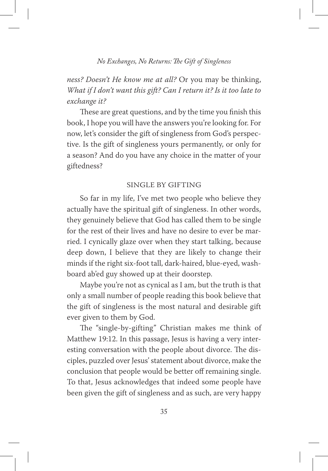*ness? Doesn't He know me at all?* Or you may be thinking, *What if I don't want this gift? Can I return it? Is it too late to exchange it?*

These are great questions, and by the time you finish this book, I hope you will have the answers you're looking for. For now, let's consider the gift of singleness from God's perspective. Is the gift of singleness yours permanently, or only for a season? And do you have any choice in the matter of your giftedness?

#### Single by Gifting

So far in my life, I've met two people who believe they actually have the spiritual gift of singleness. In other words, they genuinely believe that God has called them to be single for the rest of their lives and have no desire to ever be married. I cynically glaze over when they start talking, because deep down, I believe that they are likely to change their minds if the right six-foot tall, dark-haired, blue-eyed, washboard ab'ed guy showed up at their doorstep.

Maybe you're not as cynical as I am, but the truth is that only a small number of people reading this book believe that the gift of singleness is the most natural and desirable gift ever given to them by God.

The "single-by-gifting" Christian makes me think of Matthew 19:12. In this passage, Jesus is having a very interesting conversation with the people about divorce. The disciples, puzzled over Jesus' statement about divorce, make the conclusion that people would be better off remaining single. To that, Jesus acknowledges that indeed some people have been given the gift of singleness and as such, are very happy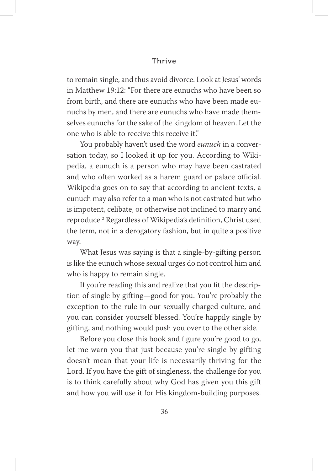to remain single, and thus avoid divorce. Look at Jesus' words in Matthew 19:12: "For there are eunuchs who have been so from birth, and there are eunuchs who have been made eunuchs by men, and there are eunuchs who have made themselves eunuchs for the sake of the kingdom of heaven. Let the one who is able to receive this receive it."

You probably haven't used the word *eunuch* in a conversation today, so I looked it up for you. According to Wikipedia, a eunuch is a person who may have been castrated and who often worked as a harem guard or palace official. Wikipedia goes on to say that according to ancient texts, a eunuch may also refer to a man who is not castrated but who is impotent, celibate, or otherwise not inclined to marry and reproduce.2 Regardless of Wikipedia's definition, Christ used the term, not in a derogatory fashion, but in quite a positive way.

What Jesus was saying is that a single-by-gifting person is like the eunuch whose sexual urges do not control him and who is happy to remain single.

If you're reading this and realize that you fit the description of single by gifting—good for you. You're probably the exception to the rule in our sexually charged culture, and you can consider yourself blessed. You're happily single by gifting, and nothing would push you over to the other side.

Before you close this book and figure you're good to go, let me warn you that just because you're single by gifting doesn't mean that your life is necessarily thriving for the Lord. If you have the gift of singleness, the challenge for you is to think carefully about why God has given you this gift and how you will use it for His kingdom-building purposes.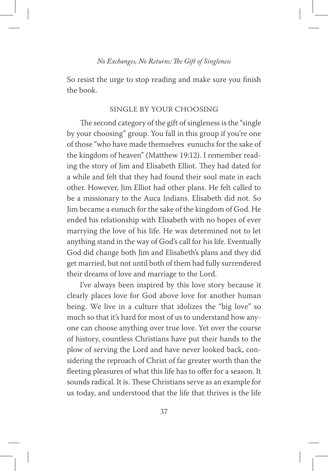So resist the urge to stop reading and make sure you finish the book.

#### Single by Your Choosing

The second category of the gift of singleness is the "single by your choosing" group. You fall in this group if you're one of those "who have made themselves eunuchs for the sake of the kingdom of heaven" (Matthew 19:12). I remember reading the story of Jim and Elisabeth Elliot. They had dated for a while and felt that they had found their soul mate in each other. However, Jim Elliot had other plans. He felt called to be a missionary to the Auca Indians. Elisabeth did not. So Jim became a eunuch for the sake of the kingdom of God. He ended his relationship with Elisabeth with no hopes of ever marrying the love of his life. He was determined not to let anything stand in the way of God's call for his life. Eventually God did change both Jim and Elisabeth's plans and they did get married, but not until both of them had fully surrendered their dreams of love and marriage to the Lord.

I've always been inspired by this love story because it clearly places love for God above love for another human being. We live in a culture that idolizes the "big love" so much so that it's hard for most of us to understand how anyone can choose anything over true love. Yet over the course of history, countless Christians have put their hands to the plow of serving the Lord and have never looked back, considering the reproach of Christ of far greater worth than the fleeting pleasures of what this life has to offer for a season. It sounds radical. It is. These Christians serve as an example for us today, and understood that the life that thrives is the life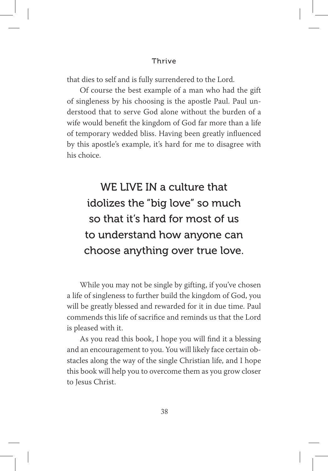that dies to self and is fully surrendered to the Lord.

Of course the best example of a man who had the gift of singleness by his choosing is the apostle Paul. Paul understood that to serve God alone without the burden of a wife would benefit the kingdom of God far more than a life of temporary wedded bliss. Having been greatly influenced by this apostle's example, it's hard for me to disagree with his choice.

WE LIVE IN a culture that idolizes the "big love" so much so that it's hard for most of us to understand how anyone can choose anything over true love.

While you may not be single by gifting, if you've chosen a life of singleness to further build the kingdom of God, you will be greatly blessed and rewarded for it in due time. Paul commends this life of sacrifice and reminds us that the Lord is pleased with it.

As you read this book, I hope you will find it a blessing and an encouragement to you. You will likely face certain obstacles along the way of the single Christian life, and I hope this book will help you to overcome them as you grow closer to Jesus Christ.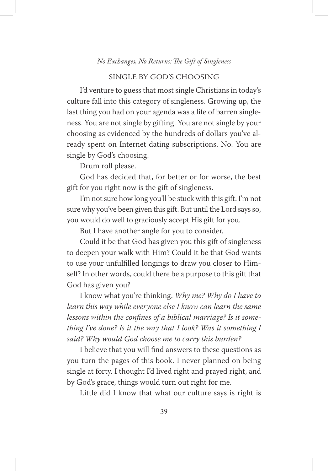#### Single by God's Choosing

I'd venture to guess that most single Christians in today's culture fall into this category of singleness. Growing up, the last thing you had on your agenda was a life of barren singleness. You are not single by gifting. You are not single by your choosing as evidenced by the hundreds of dollars you've already spent on Internet dating subscriptions. No. You are single by God's choosing.

Drum roll please.

God has decided that, for better or for worse, the best gift for you right now is the gift of singleness.

I'm not sure how long you'll be stuck with this gift. I'm not sure why you've been given this gift. But until the Lord says so, you would do well to graciously accept His gift for you.

But I have another angle for you to consider.

Could it be that God has given you this gift of singleness to deepen your walk with Him? Could it be that God wants to use your unfulfilled longings to draw you closer to Himself? In other words, could there be a purpose to this gift that God has given you?

I know what you're thinking. *Why me? Why do I have to learn this way while everyone else I know can learn the same lessons within the confines of a biblical marriage? Is it something I've done? Is it the way that I look? Was it something I said? Why would God choose me to carry this burden?*

I believe that you will find answers to these questions as you turn the pages of this book. I never planned on being single at forty. I thought I'd lived right and prayed right, and by God's grace, things would turn out right for me.

Little did I know that what our culture says is right is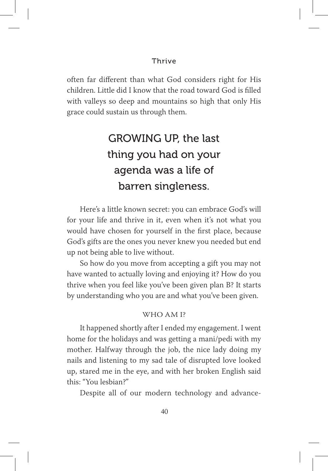often far different than what God considers right for His children. Little did I know that the road toward God is filled with valleys so deep and mountains so high that only His grace could sustain us through them.

## Growing up, the last thing you had on your agenda was a life of barren singleness.

Here's a little known secret: you can embrace God's will for your life and thrive in it, even when it's not what you would have chosen for yourself in the first place, because God's gifts are the ones you never knew you needed but end up not being able to live without.

So how do you move from accepting a gift you may not have wanted to actually loving and enjoying it? How do you thrive when you feel like you've been given plan B? It starts by understanding who you are and what you've been given.

#### WHO AM I?

It happened shortly after I ended my engagement. I went home for the holidays and was getting a mani/pedi with my mother. Halfway through the job, the nice lady doing my nails and listening to my sad tale of disrupted love looked up, stared me in the eye, and with her broken English said this: "You lesbian?"

Despite all of our modern technology and advance-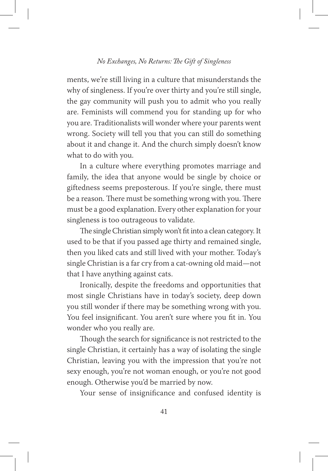ments, we're still living in a culture that misunderstands the why of singleness. If you're over thirty and you're still single, the gay community will push you to admit who you really are. Feminists will commend you for standing up for who you are. Traditionalists will wonder where your parents went wrong. Society will tell you that you can still do something about it and change it. And the church simply doesn't know what to do with you.

In a culture where everything promotes marriage and family, the idea that anyone would be single by choice or giftedness seems preposterous. If you're single, there must be a reason. There must be something wrong with you. There must be a good explanation. Every other explanation for your singleness is too outrageous to validate.

The single Christian simply won't fit into a clean category. It used to be that if you passed age thirty and remained single, then you liked cats and still lived with your mother. Today's single Christian is a far cry from a cat-owning old maid—not that I have anything against cats.

Ironically, despite the freedoms and opportunities that most single Christians have in today's society, deep down you still wonder if there may be something wrong with you. You feel insignificant. You aren't sure where you fit in. You wonder who you really are.

Though the search for significance is not restricted to the single Christian, it certainly has a way of isolating the single Christian, leaving you with the impression that you're not sexy enough, you're not woman enough, or you're not good enough. Otherwise you'd be married by now.

Your sense of insignificance and confused identity is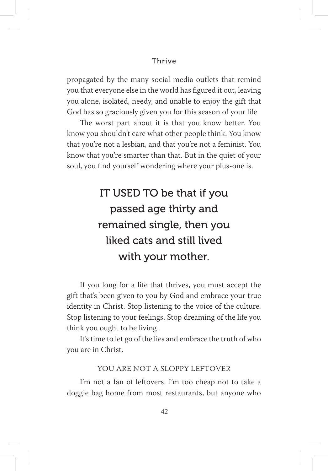propagated by the many social media outlets that remind you that everyone else in the world has figured it out, leaving you alone, isolated, needy, and unable to enjoy the gift that God has so graciously given you for this season of your life.

The worst part about it is that you know better. You know you shouldn't care what other people think. You know that you're not a lesbian, and that you're not a feminist. You know that you're smarter than that. But in the quiet of your soul, you find yourself wondering where your plus-one is.

## IT USED TO be that if you passed age thirty and remained single, then you liked cats and still lived with your mother.

If you long for a life that thrives, you must accept the gift that's been given to you by God and embrace your true identity in Christ. Stop listening to the voice of the culture. Stop listening to your feelings. Stop dreaming of the life you think you ought to be living.

It's time to let go of the lies and embrace the truth of who you are in Christ.

#### YOU ARE NOT A SLOPPY LEFTOVER

I'm not a fan of leftovers. I'm too cheap not to take a doggie bag home from most restaurants, but anyone who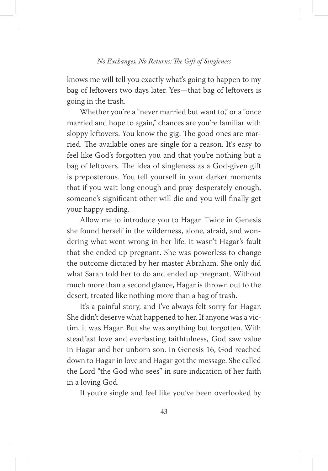knows me will tell you exactly what's going to happen to my bag of leftovers two days later. Yes—that bag of leftovers is going in the trash.

Whether you're a "never married but want to," or a "once married and hope to again," chances are you're familiar with sloppy leftovers. You know the gig. The good ones are married. The available ones are single for a reason. It's easy to feel like God's forgotten you and that you're nothing but a bag of leftovers. The idea of singleness as a God-given gift is preposterous. You tell yourself in your darker moments that if you wait long enough and pray desperately enough, someone's significant other will die and you will finally get your happy ending.

Allow me to introduce you to Hagar. Twice in Genesis she found herself in the wilderness, alone, afraid, and wondering what went wrong in her life. It wasn't Hagar's fault that she ended up pregnant. She was powerless to change the outcome dictated by her master Abraham. She only did what Sarah told her to do and ended up pregnant. Without much more than a second glance, Hagar is thrown out to the desert, treated like nothing more than a bag of trash.

It's a painful story, and I've always felt sorry for Hagar. She didn't deserve what happened to her. If anyone was a victim, it was Hagar. But she was anything but forgotten. With steadfast love and everlasting faithfulness, God saw value in Hagar and her unborn son. In Genesis 16, God reached down to Hagar in love and Hagar got the message. She called the Lord "the God who sees" in sure indication of her faith in a loving God.

If you're single and feel like you've been overlooked by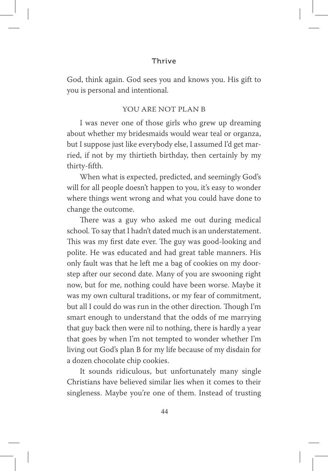God, think again. God sees you and knows you. His gift to you is personal and intentional.

#### YOU ARE NOT PLAN B

I was never one of those girls who grew up dreaming about whether my bridesmaids would wear teal or organza, but I suppose just like everybody else, I assumed I'd get married, if not by my thirtieth birthday, then certainly by my thirty-fifth.

When what is expected, predicted, and seemingly God's will for all people doesn't happen to you, it's easy to wonder where things went wrong and what you could have done to change the outcome.

There was a guy who asked me out during medical school. To say that I hadn't dated much is an understatement. This was my first date ever. The guy was good-looking and polite. He was educated and had great table manners. His only fault was that he left me a bag of cookies on my doorstep after our second date. Many of you are swooning right now, but for me, nothing could have been worse. Maybe it was my own cultural traditions, or my fear of commitment, but all I could do was run in the other direction. Though I'm smart enough to understand that the odds of me marrying that guy back then were nil to nothing, there is hardly a year that goes by when I'm not tempted to wonder whether I'm living out God's plan B for my life because of my disdain for a dozen chocolate chip cookies.

It sounds ridiculous, but unfortunately many single Christians have believed similar lies when it comes to their singleness. Maybe you're one of them. Instead of trusting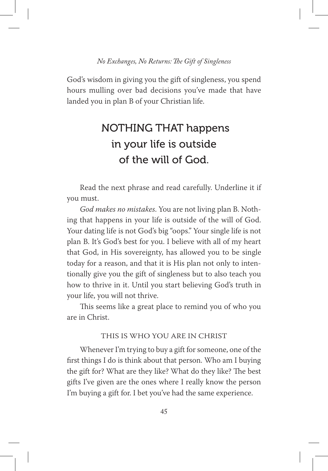#### *No Exchanges, No Returns: The Gift of Singleness*

God's wisdom in giving you the gift of singleness, you spend hours mulling over bad decisions you've made that have landed you in plan B of your Christian life.

### NOTHING THAT happens in your life is outside of the will of God.

Read the next phrase and read carefully. Underline it if you must.

*God makes no mistakes*. You are not living plan B. Nothing that happens in your life is outside of the will of God. Your dating life is not God's big "oops." Your single life is not plan B. It's God's best for you. I believe with all of my heart that God, in His sovereignty, has allowed you to be single today for a reason, and that it is His plan not only to intentionally give you the gift of singleness but to also teach you how to thrive in it. Until you start believing God's truth in your life, you will not thrive.

This seems like a great place to remind you of who you are in Christ.

#### This Is Who You Are in Christ

Whenever I'm trying to buy a gift for someone, one of the first things I do is think about that person. Who am I buying the gift for? What are they like? What do they like? The best gifts I've given are the ones where I really know the person I'm buying a gift for. I bet you've had the same experience.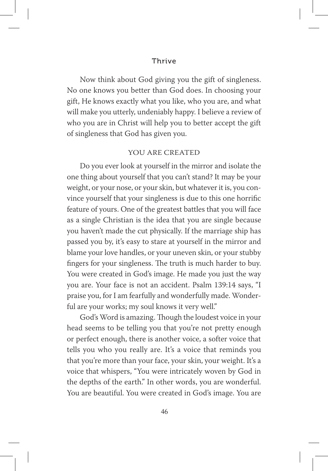Now think about God giving you the gift of singleness. No one knows you better than God does. In choosing your gift, He knows exactly what you like, who you are, and what will make you utterly, undeniably happy. I believe a review of who you are in Christ will help you to better accept the gift of singleness that God has given you.

#### YOU ARE CREATED

Do you ever look at yourself in the mirror and isolate the one thing about yourself that you can't stand? It may be your weight, or your nose, or your skin, but whatever it is, you convince yourself that your singleness is due to this one horrific feature of yours. One of the greatest battles that you will face as a single Christian is the idea that you are single because you haven't made the cut physically. If the marriage ship has passed you by, it's easy to stare at yourself in the mirror and blame your love handles, or your uneven skin, or your stubby fingers for your singleness. The truth is much harder to buy. You were created in God's image. He made you just the way you are. Your face is not an accident. Psalm 139:14 says, "I praise you, for I am fearfully and wonderfully made. Wonderful are your works; my soul knows it very well."

God's Word is amazing. Though the loudest voice in your head seems to be telling you that you're not pretty enough or perfect enough, there is another voice, a softer voice that tells you who you really are. It's a voice that reminds you that you're more than your face, your skin, your weight. It's a voice that whispers, "You were intricately woven by God in the depths of the earth." In other words, you are wonderful. You are beautiful. You were created in God's image. You are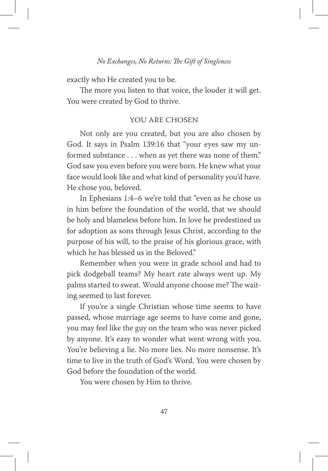exactly who He created you to be.

The more you listen to that voice, the louder it will get. You were created by God to thrive.

#### YOU ARE CHOSEN

Not only are you created, but you are also chosen by God. It says in Psalm 139:16 that "your eyes saw my unformed substance . . . when as yet there was none of them." God saw you even before you were born. He knew what your face would look like and what kind of personality you'd have. He chose you, beloved.

In Ephesians 1:4–6 we're told that "even as he chose us in him before the foundation of the world, that we should be holy and blameless before him. In love he predestined us for adoption as sons through Jesus Christ, according to the purpose of his will, to the praise of his glorious grace, with which he has blessed us in the Beloved."

Remember when you were in grade school and had to pick dodgeball teams? My heart rate always went up. My palms started to sweat. Would anyone choose me? The waiting seemed to last forever.

If you're a single Christian whose time seems to have passed, whose marriage age seems to have come and gone, you may feel like the guy on the team who was never picked by anyone. It's easy to wonder what went wrong with you. You're believing a lie. No more lies. No more nonsense. It's time to live in the truth of God's Word. You were chosen by God before the foundation of the world.

You were chosen by Him to thrive.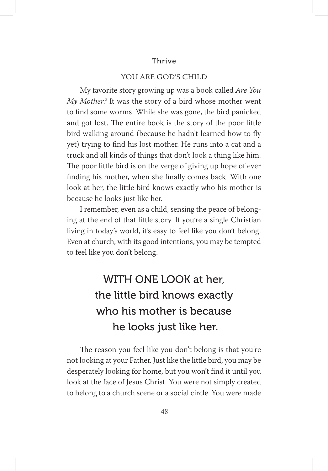#### YOU ARE GOD'S CHILD

My favorite story growing up was a book called *Are You My Mother?* It was the story of a bird whose mother went to find some worms. While she was gone, the bird panicked and got lost. The entire book is the story of the poor little bird walking around (because he hadn't learned how to fly yet) trying to find his lost mother. He runs into a cat and a truck and all kinds of things that don't look a thing like him. The poor little bird is on the verge of giving up hope of ever finding his mother, when she finally comes back. With one look at her, the little bird knows exactly who his mother is because he looks just like her.

I remember, even as a child, sensing the peace of belonging at the end of that little story. If you're a single Christian living in today's world, it's easy to feel like you don't belong. Even at church, with its good intentions, you may be tempted to feel like you don't belong.

## WITH ONE LOOK at her. the little bird knows exactly who his mother is because he looks just like her.

The reason you feel like you don't belong is that you're not looking at your Father. Just like the little bird, you may be desperately looking for home, but you won't find it until you look at the face of Jesus Christ. You were not simply created to belong to a church scene or a social circle. You were made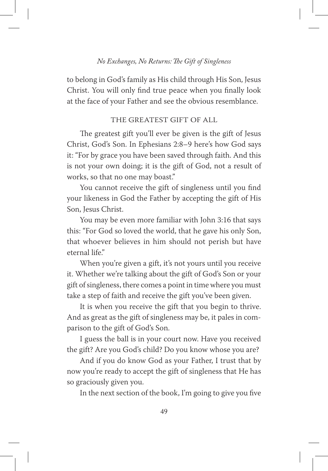to belong in God's family as His child through His Son, Jesus Christ. You will only find true peace when you finally look at the face of your Father and see the obvious resemblance.

#### The Greatest Gift of All

The greatest gift you'll ever be given is the gift of Jesus Christ, God's Son. In Ephesians 2:8–9 here's how God says it: "For by grace you have been saved through faith. And this is not your own doing; it is the gift of God, not a result of works, so that no one may boast."

You cannot receive the gift of singleness until you find your likeness in God the Father by accepting the gift of His Son, Jesus Christ.

You may be even more familiar with John 3:16 that says this: "For God so loved the world, that he gave his only Son, that whoever believes in him should not perish but have eternal life."

When you're given a gift, it's not yours until you receive it. Whether we're talking about the gift of God's Son or your gift of singleness, there comes a point in time where you must take a step of faith and receive the gift you've been given.

It is when you receive the gift that you begin to thrive. And as great as the gift of singleness may be, it pales in comparison to the gift of God's Son.

I guess the ball is in your court now. Have you received the gift? Are you God's child? Do you know whose you are?

And if you do know God as your Father, I trust that by now you're ready to accept the gift of singleness that He has so graciously given you.

In the next section of the book, I'm going to give you five